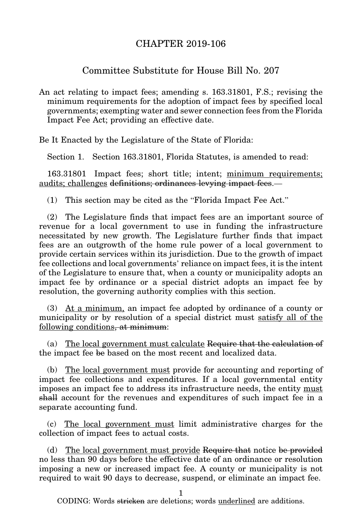## CHAPTER 2019-106

## Committee Substitute for House Bill No. 207

An act relating to impact fees; amending s. 163.31801, F.S.; revising the minimum requirements for the adoption of impact fees by specified local governments; exempting water and sewer connection fees from the Florida Impact Fee Act; providing an effective date.

Be It Enacted by the Legislature of the State of Florida:

Section 1. Section 163.31801, Florida Statutes, is amended to read:

163.31801 Impact fees; short title; intent; minimum requirements; audits; challenges definitions; ordinances levying impact fees.—

(1) This section may be cited as the "Florida Impact Fee Act."

(2) The Legislature finds that impact fees are an important source of revenue for a local government to use in funding the infrastructure necessitated by new growth. The Legislature further finds that impact fees are an outgrowth of the home rule power of a local government to provide certain services within its jurisdiction. Due to the growth of impact fee collections and local governments' reliance on impact fees, it is the intent of the Legislature to ensure that, when a county or municipality adopts an impact fee by ordinance or a special district adopts an impact fee by resolution, the governing authority complies with this section.

(3) At a minimum, an impact fee adopted by ordinance of a county or municipality or by resolution of a special district must satisfy all of the following conditions, at minimum:

(a) The local government must calculate Require that the calculation of the impact fee be based on the most recent and localized data.

(b) The local government must provide for accounting and reporting of impact fee collections and expenditures. If a local governmental entity imposes an impact fee to address its infrastructure needs, the entity must shall account for the revenues and expenditures of such impact fee in a separate accounting fund.

(c) The local government must limit administrative charges for the collection of impact fees to actual costs.

(d) The local government must provide Require that notice be provided no less than 90 days before the effective date of an ordinance or resolution imposing a new or increased impact fee. A county or municipality is not required to wait 90 days to decrease, suspend, or eliminate an impact fee.

1

CODING: Words stricken are deletions; words underlined are additions.